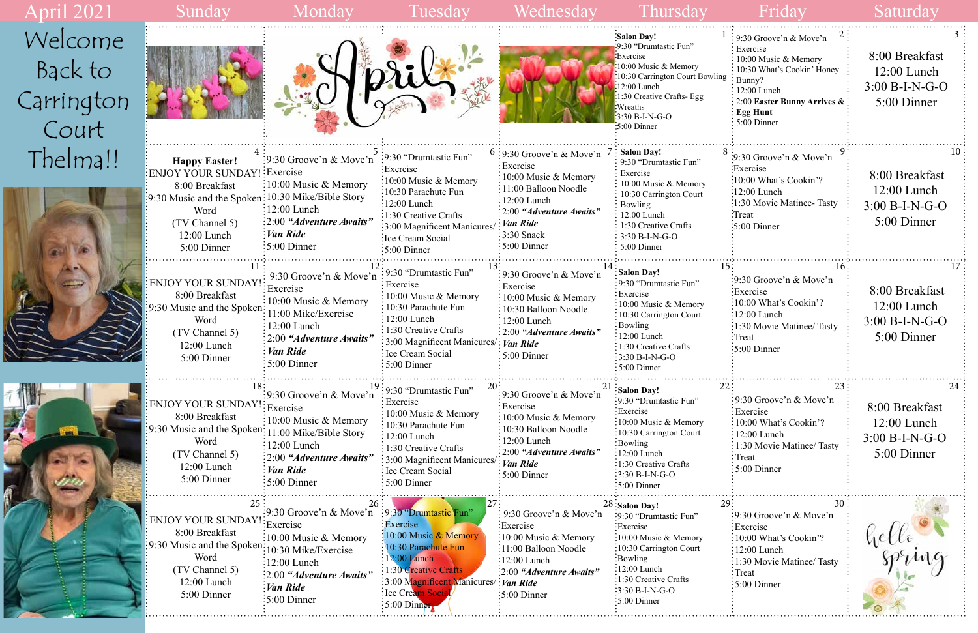| 1<br>wling      | 2<br>9:30 Groove'n & Move'n<br>Exercise<br>10:00 Music & Memory<br>10:30 What's Cookin' Honey<br>Bunny?<br>12:00 Lunch<br>2:00 Easter Bunny Arrives &<br><b>Egg Hunt</b><br>5:00 Dinner | 3<br>8:00 Breakfast<br>$12:00$ Lunch<br>$3:00 B-I-N-G-O$<br>5:00 Dinner  |
|-----------------|-----------------------------------------------------------------------------------------------------------------------------------------------------------------------------------------|--------------------------------------------------------------------------|
| 8               | 9<br>$\approx$ 9:30 Groove'n & Move'n<br>Exercise<br>:10:00 What's Cookin'?<br>:12:00 Lunch<br>1:30 Movie Matinee- Tasty:<br>:Treat<br>$\approx 5:00$ Dinner                            | 10<br>8:00 Breakfast<br>$12:00$ Lunch<br>$3:00 B-I-N-G-O$<br>5:00 Dinner |
| 15:             | 16<br>9:30 Groove'n & Move'n<br>:Exercise<br>:10:00 What's Cookin'?<br>12:00 Lunch<br>:1:30 Movie Matinee/ Tasty<br>Treat<br>5:00 Dinner                                                | 17<br>8:00 Breakfast<br>12:00 Lunch<br>$3:00 B-I-N-G-O$<br>5:00 Dinner   |
| 22              | 23<br>9:30 Groove'n & Move'n<br>Exercise<br>10:00 What's Cookin'?<br>12:00 Lunch<br>1:30 Movie Matinee/ Tasty<br>Treat<br>5:00 Dinner                                                   | 24<br>8:00 Breakfast<br>$12:00$ Lunch<br>$3:00 B-I-N-G-O$<br>5:00 Dinner |
| 29 <sup>3</sup> | 30<br>9:30 Groove'n & Move'n<br>Exercise<br>10:00 What's Cookin'?<br>12:00 Lunch<br>1:30 Movie Matinee/ Tasty<br>Treat<br>5:00 Dinner                                                   | hello                                                                    |

| <b>April 2021</b>                         | Sunday                                                                                                                                                                                | Monday                                                                                                                                                                                                               | Tuesday                                                                                                                                                                                                                        | Wednesday                                                                                                                                                                                                            | Thursday                                                                                                                                                                                                                             | Friday                                                                                                                                                                                                          | Saturday                                                           |
|-------------------------------------------|---------------------------------------------------------------------------------------------------------------------------------------------------------------------------------------|----------------------------------------------------------------------------------------------------------------------------------------------------------------------------------------------------------------------|--------------------------------------------------------------------------------------------------------------------------------------------------------------------------------------------------------------------------------|----------------------------------------------------------------------------------------------------------------------------------------------------------------------------------------------------------------------|--------------------------------------------------------------------------------------------------------------------------------------------------------------------------------------------------------------------------------------|-----------------------------------------------------------------------------------------------------------------------------------------------------------------------------------------------------------------|--------------------------------------------------------------------|
| Welcome<br>Back to<br>Carrington<br>Court |                                                                                                                                                                                       |                                                                                                                                                                                                                      |                                                                                                                                                                                                                                |                                                                                                                                                                                                                      | 'Salon Day!<br>:9:30 "Drumtastic Fun"<br>:Exercise<br>:10:00 Music & Memory<br>:10:30 Carrington Court Bowling<br>$:12:00$ Lunch<br>1:30 Creative Crafts- Egg<br><b>Wreaths</b><br>$3:30 B-I-N-G-O$<br>:5:00 Dinner                  | $\approx$ 9:30 Groove'n & Move'n<br>Exercise<br>: 10:00 Music & Memory<br>: 10:30 What's Cookin' Honey<br>: Bunny?<br>$\therefore$ 12:00 Lunch<br>: 2:00 Easter Bunny Arrives $\&$ :<br>Egg Hunt<br>5:00 Dinner | 8:00 Breakfast<br>$12:00$ Lunch<br>3:00 B-I-N-G-O<br>5:00 Dinner   |
| Thelma!!                                  | <b>Happy Easter!</b><br>ENJOY YOUR SUNDAY! Exercise<br>8:00 Breakfast<br>[9:30 Music and the Spoken: 10:30 Mike/Bible Story<br>Word<br>(TV Channel 5)<br>$12:00$ Lunch<br>5:00 Dinner | $\frac{1}{2}$ 9:30 Groove'n & Move'n<br>$\frac{1}{2}10:00$ Music & Memory<br>$\frac{1}{2}$ :00 Lunch<br>:2:00 "Adventure Awaits"<br>: Van Ride<br>$\frac{1}{2}$ 5:00 Dinner                                          | :9:30 "Drumtastic Fun"<br>Exercise:<br>$:10:00$ Music & Memory<br>10:30 Parachute Fun<br>$\frac{12:00 \text{ Lunch}}{2}$<br>1:30 Creative Crafts<br>3:00 Magnificent Manicures<br>Ice Cream Social<br>$\frac{1}{2}$ :00 Dinner | $6:9:30$ Groove'n & Move'n<br>: Exercise<br>10:00 Music & Memory<br>: 11:00 Balloon Noodle<br>$\frac{1}{2}$ 12:00 Lunch<br>$\div 2:00$ "Adventure Awaits"<br>: Van Ride<br>$\frac{1}{2}$ :30 Snack<br>$:5:00$ Dinner | 7 : Salon Day!<br>: 9:30 "Drumtastic Fun"<br>Exercise<br>10:00 Music & Memory<br>10:30 Carrington Court<br>Bowling<br>12:00 Lunch<br>$\frac{1}{2}$ 1:30 Creative Crafts<br>$\frac{1}{2}$ 3:30 B-I-N-G-O<br>$\frac{1}{2}$ 5:00 Dinner | :9:30 Groove'n & Move'n<br>Exercise<br>:10:00 What's Cookin'?<br>:12:00 Lunch<br>:1:30 Movie Matinee-Tasty<br>:Treat<br>$\therefore$ 5:00 Dinner                                                                | 8:00 Breakfast<br>$12:00$ Lunch<br>$3:00 B-I-N-G-O$<br>5:00 Dinner |
| $\frac{1}{2}$                             | <b>ENJOY YOUR SUNDAY!</b><br>8:00 Breakfast<br>9:30 Music and the Spoken:<br>Word<br>(TV Channel 5)<br>12:00 Lunch<br>5:00 Dinner                                                     | 9:30 Groove'n & Move'n<br>Exercise<br>$\frac{1}{2}10:00$ Music & Memory<br>11:00 Mike/Exercise<br>$\frac{1}{2}12:00$ Lunch<br>: 2:00 "Adventure Awaits"<br>Van Ride<br>$\div 5:00$ Dinner                            | : 9:30 "Drumtastic Fun"<br>Exercise<br>: 10:00 Music & Memory<br>10:30 Parachute Fun<br>12:00 Lunch<br>$: 1:30$ Creative Crafts<br>3:00 Magnificent Manicures/: Van Ride<br>Ece Cream Social<br>$\frac{1}{2}$ 5:00 Dinner      | : 9:30 Groove'n $\&$ Move'n<br>Exercise<br>$\frac{1}{2}$ 10:00 Music & Memory<br>10:30 Balloon Noodle<br>$\frac{1}{2}$ 12:00 Lunch<br>$\therefore$ 2:00 "Adventure Awaits"<br>$\frac{1}{2}$ 5:00 Dinner              | Salon Day!<br>:9:30 "Drumtastic Fun"<br>: Exercise<br>10:00 Music & Memory<br>:10:30 Carrington Court<br>Bowling<br>$: 12:00$ Lunch<br>1:30 Creative Crafts<br>$\frac{1}{2}3:30 B-I-N-G-O$<br>$\frac{1}{2}$ 5:00 Dinner              | :9:30 Groove'n & Move'n<br>:Exercise<br>:10:00 What's Cookin'?<br>$:12:00$ Lunch<br>:1:30 Movie Matinee/ Tasty<br>:Treat<br>:5:00 Dinner                                                                        | 8:00 Breakfast<br>$12:00$ Lunch<br>$3:00 B-I-N-G-O$<br>5:00 Dinner |
|                                           | ENJOY YOUR SUNDAY!: Exercise<br>8:00 Breakfast<br>9:30 Music and the Spoken: 11:00 Mike/Bible Story<br>Word<br>(TV Channel 5)<br>$12:00$ Lunch<br>5:00 Dinner                         | $\frac{1}{2}$ 9:30 Groove'n & Move'n<br>$\pm 10:00$ Music & Memory<br>$\frac{1}{2}$ 12:00 Lunch<br>$:2:00$ "Adventure Awaits"<br>Van Ride<br>$5:00$ Dinner                                                           | : 9:30 "Drumtastic Fun"<br>Exercise<br>10:00 Music & Memory<br>10:30 Parachute Fun<br>$12:00$ Lunch<br>$\frac{1}{2}$ 1:30 Creative Crafts<br>: 3:00 Magnificent Manicures<br>Ice Cream Social<br>$\frac{1}{2}$ 5:00 Dinner     | .9:30 Groove'n & Move'n<br>Exercise:<br>10:00 Music & Memory<br>: 10:30 Balloon Noodle<br>12:00 Lunch<br>$\frac{1}{2}$ 2:00 "Adventure Awaits"<br>Van Ride<br>$:5:00$ Dinner                                         | Salon Day!<br>:9:30 "Drumtastic Fun"<br>:Exercise<br>:10:00 Music & Memory<br>:10:30 Carrington Court<br>:Bowling<br>:12:00 Lunch<br>:1:30 Creative Crafts<br>$3:30 B-I-N-G-O$<br>:5:00 Dinner                                       | :9:30 Groove'n $& \text{Move'}n$<br>: Exercise<br>:10:00 What's Cookin'?<br>12:00 Lunch<br>: 1:30 Movie Matinee/ Tasty<br>∶Treat<br>$\frac{1}{2}$ 5:00 Dinner                                                   | 8:00 Breakfast<br>$12:00$ Lunch<br>$3:00 B-I-N-G-O$<br>5:00 Dinner |
|                                           | <b>ENJOY YOUR SUNDAY!</b><br>8:00 Breakfast<br>9:30 Music and the Spoken:<br>Word<br>(TV Channel 5)<br>$12:00$ Lunch<br>5:00 Dinner                                                   | :9:30 Groove'n & Move'n :9:30 "Drumtastic Fun'<br>:Exercise<br>:10:00 Music & Memory<br>10:30 Mike/Exercise<br>$\frac{12:00 \text{ Lunch}}{2}$<br>$\therefore$ 2:00 "Adventure Awaits"<br>Van Ride<br>$:5:00$ Dinner | Exercise<br>$\frac{1}{2}10:00$ Music & Memory<br>10:30 Parachute Fun<br>12:00 Lunch<br>1:30 Creative Crafts<br>3:00 Magnificent Manicures/: Van Ride<br><b>Ice Cream Social</b><br>$\frac{1}{2}$ 5:00 Dinner                   | : 9:30 Groove'n & Move'n<br>Exercise:<br>$\therefore$ 10:00 Music & Memory<br>:11:00 Balloon Noodle<br>$\frac{1}{2}12:00$ Lunch<br>$\therefore$ 2:00 "Adventure Awaits"<br>$\frac{1}{2}$ 5:00 Dinner                 | $28:$ Salon Day!<br>:9:30 "Drumtastic Fun"<br>:Exercise<br>:10:00 Music & Memory<br>:10:30 Carrington Court<br>Bowling<br>$\frac{12:00 \text{ Lunch}}{2}$<br>:1:30 Creative Crafts<br>$3:30 B-I-N-G-O$<br>5:00 Dinner                | :9:30 Groove'n $& \text{Move'}n$<br>Exercise:<br>:10:00 What's Cookin'?<br>$\frac{1}{2}$ :00 Lunch<br>:1:30 Movie Matinee/ Tasty<br>:Treat<br>$\frac{1}{2}$ 5:00 Dinner                                         |                                                                    |